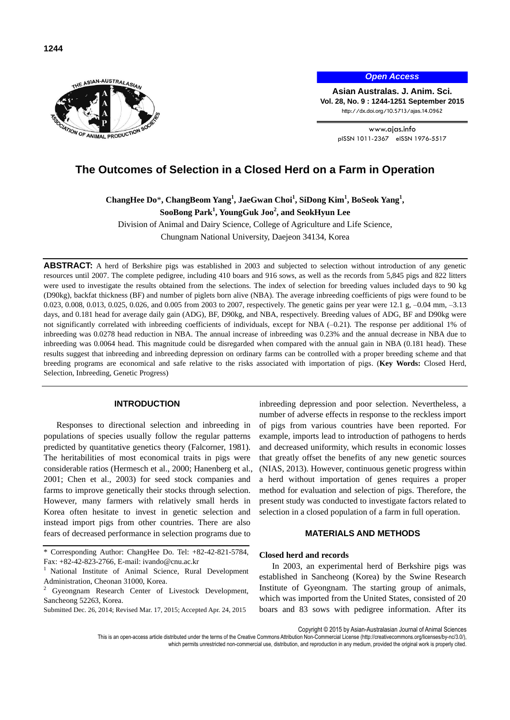

*Open Access*

**Asian Australas. J. Anim. Sci. Vol. 28, No. 9 : 1244-1251 September 2015** http://dx.doi.org/10.5713/ajas.14.0962

> www.ajas.info pISSN 1011-2367 eISSN 1976-5517

# **The Outcomes of Selection in a Closed Herd on a Farm in Operation**

**ChangHee Do**\***, ChangBeom Yang<sup>1</sup> , JaeGwan Choi<sup>1</sup> , SiDong Kim<sup>1</sup> , BoSeok Yang<sup>1</sup> ,** 

**SooBong Park<sup>1</sup> , YoungGuk Joo<sup>2</sup> , and SeokHyun Lee**

Division of Animal and Dairy Science, College of Agriculture and Life Science, Chungnam National University, Daejeon 34134, Korea

**ABSTRACT:** A herd of Berkshire pigs was established in 2003 and subjected to selection without introduction of any genetic resources until 2007. The complete pedigree, including 410 boars and 916 sows, as well as the records from 5,845 pigs and 822 litters were used to investigate the results obtained from the selections. The index of selection for breeding values included days to 90 kg (D90kg), backfat thickness (BF) and number of piglets born alive (NBA). The average inbreeding coefficients of pigs were found to be 0.023, 0.008, 0.013, 0.025, 0.026, and 0.005 from 2003 to 2007, respectively. The genetic gains per year were 12.1 g, –0.04 mm, –3.13 days, and 0.181 head for average daily gain (ADG), BF, D90kg, and NBA, respectively. Breeding values of ADG, BF and D90kg were not significantly correlated with inbreeding coefficients of individuals, except for NBA (–0.21). The response per additional 1% of inbreeding was 0.0278 head reduction in NBA. The annual increase of inbreeding was 0.23% and the annual decrease in NBA due to inbreeding was 0.0064 head. This magnitude could be disregarded when compared with the annual gain in NBA (0.181 head). These results suggest that inbreeding and inbreeding depression on ordinary farms can be controlled with a proper breeding scheme and that breeding programs are economical and safe relative to the risks associated with importation of pigs. (**Key Words:** Closed Herd, Selection, Inbreeding, Genetic Progress)

# **INTRODUCTION**

Responses to directional selection and inbreeding in populations of species usually follow the regular patterns predicted by quantitative genetics theory (Falcorner, 1981). The heritabilities of most economical traits in pigs were considerable ratios (Hermesch et al., 2000; Hanenberg et al., 2001; Chen et al., 2003) for seed stock companies and farms to improve genetically their stocks through selection. However, many farmers with relatively small herds in Korea often hesitate to invest in genetic selection and instead import pigs from other countries. There are also fears of decreased performance in selection programs due to

Submitted Dec. 26, 2014; Revised Mar. 17, 2015; Accepted Apr. 24, 2015

inbreeding depression and poor selection. Nevertheless, a number of adverse effects in response to the reckless import of pigs from various countries have been reported. For example, imports lead to introduction of pathogens to herds and decreased uniformity, which results in economic losses that greatly offset the benefits of any new genetic sources (NIAS, 2013). However, continuous genetic progress within a herd without importation of genes requires a proper method for evaluation and selection of pigs. Therefore, the present study was conducted to investigate factors related to selection in a closed population of a farm in full operation.

# **MATERIALS AND METHODS**

#### **Closed herd and records**

In 2003, an experimental herd of Berkshire pigs was established in Sancheong (Korea) by the Swine Research Institute of Gyeongnam. The starting group of animals, which was imported from the United States, consisted of 20 boars and 83 sows with pedigree information. After its

Copyright © 2015 by Asian-Australasian Journal of Animal Sciences

This is an open-access article distributed under the terms of the Creative Commons Attribution Non-Commercial License [\(http://creativecommons.org/licenses/by-nc/3.0/\),](http://creativecommons.org/licenses/by-nc/3.0/) which permits unrestricted non-commercial use, distribution, and reproduction in any medium, provided the original work is properly cited.

<sup>\*</sup> Corresponding Author: ChangHee Do. Tel: +82-42-821-5784, Fax: +82-42-823-2766, E-mail: ivando@cnu.ac.kr

<sup>&</sup>lt;sup>1</sup> National Institute of Animal Science, Rural Development Administration, Cheonan 31000, Korea.

Gyeongnam Research Center of Livestock Development, Sancheong 52263, Korea.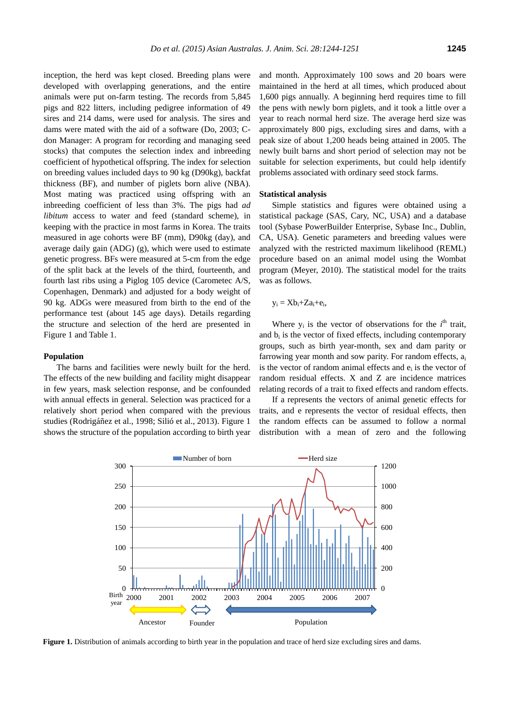inception, the herd was kept closed. Breeding plans were developed with overlapping generations, and the entire animals were put on-farm testing. The records from 5,845 pigs and 822 litters, including pedigree information of 49 sires and 214 dams, were used for analysis. The sires and dams were mated with the aid of a software (Do, 2003; Cdon Manager: A program for recording and managing seed stocks) that computes the selection index and inbreeding coefficient of hypothetical offspring. The index for selection on breeding values included days to 90 kg (D90kg), backfat thickness (BF), and number of piglets born alive (NBA). Most mating was practiced using offspring with an inbreeding coefficient of less than 3%. The pigs had *ad libitum* access to water and feed (standard scheme), in keeping with the practice in most farms in Korea. The traits measured in age cohorts were BF (mm), D90kg (day), and average daily gain (ADG) (g), which were used to estimate genetic progress. BFs were measured at 5-cm from the edge of the split back at the levels of the third, fourteenth, and fourth last ribs using a Piglog 105 device (Carometec A/S, Copenhagen, Denmark) and adjusted for a body weight of 90 kg. ADGs were measured from birth to the end of the performance test (about 145 age days). Details regarding the structure and selection of the herd are presented in Figure 1 and Table 1.

#### **Population**

The barns and facilities were newly built for the herd. The effects of the new building and facility might disappear in few years, mask selection response, and be confounded with annual effects in general. Selection was practiced for a relatively short period when compared with the previous studies (Rodrigáñez et al., 1998; Silió et al., 2013). Figure 1 shows the structure of the population according to birth year

and month. Approximately 100 sows and 20 boars were maintained in the herd at all times, which produced about 1,600 pigs annually. A beginning herd requires time to fill the pens with newly born piglets, and it took a little over a year to reach normal herd size. The average herd size was approximately 800 pigs, excluding sires and dams, with a peak size of about 1,200 heads being attained in 2005. The newly built barns and short period of selection may not be suitable for selection experiments, but could help identify problems associated with ordinary seed stock farms.

#### **Statistical analysis**

Simple statistics and figures were obtained using a statistical package (SAS, Cary, NC, USA) and a database tool (Sybase PowerBuilder Enterprise, Sybase Inc., Dublin, CA, USA). Genetic parameters and breeding values were analyzed with the restricted maximum likelihood (REML) procedure based on an animal model using the Wombat program (Meyer, 2010). The statistical model for the traits was as follows.

$$
y_i=Xb_i{+}Za_i{+}e_i,\\
$$

Where  $y_i$  is the vector of observations for the  $i<sup>th</sup>$  trait, and  $b_i$  is the vector of fixed effects, including contemporary groups, such as birth year-month, sex and dam parity or farrowing year month and sow parity. For random effects,  $a_i$ is the vector of random animal effects and  $e_i$  is the vector of random residual effects. X and Z are incidence matrices relating records of a trait to fixed effects and random effects.

If a represents the vectors of animal genetic effects for traits, and e represents the vector of residual effects, then the random effects can be assumed to follow a normal distribution with a mean of zero and the following



**Figure 1.** Distribution of animals according to birth year in the population and trace of herd size excluding sires and dams.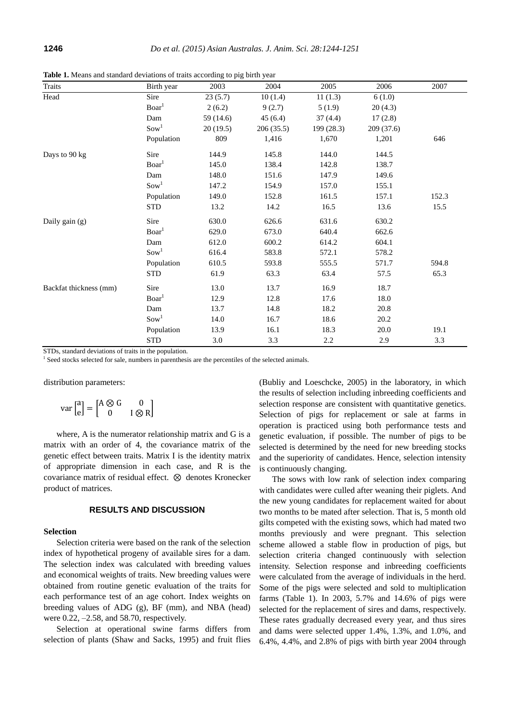| <b>Traits</b>          | Birth year         | 2003      | 2004      | 2005       | 2006      | 2007  |
|------------------------|--------------------|-----------|-----------|------------|-----------|-------|
| Head                   | Sire               | 23(5.7)   | 10(1.4)   | 11(1.3)    | 6(1.0)    |       |
|                        | Board <sup>1</sup> | 2(6.2)    | 9(2.7)    | 5(1.9)     | 20(4.3)   |       |
|                        | Dam                | 59 (14.6) | 45(6.4)   | 37(4.4)    | 17(2.8)   |       |
|                        | Sow <sup>1</sup>   | 20(19.5)  | 206(35.5) | 199 (28.3) | 209(37.6) |       |
|                        | Population         | 809       | 1,416     | 1,670      | 1,201     | 646   |
| Days to 90 kg          | Sire               | 144.9     | 145.8     | 144.0      | 144.5     |       |
|                        | Board <sup>1</sup> | 145.0     | 138.4     | 142.8      | 138.7     |       |
|                        | Dam                | 148.0     | 151.6     | 147.9      | 149.6     |       |
|                        | Sow <sup>1</sup>   | 147.2     | 154.9     | 157.0      | 155.1     |       |
|                        | Population         | 149.0     | 152.8     | 161.5      | 157.1     | 152.3 |
|                        | <b>STD</b>         | 13.2      | 14.2      | 16.5       | 13.6      | 15.5  |
| Daily gain (g)         | Sire               | 630.0     | 626.6     | 631.6      | 630.2     |       |
|                        | Board <sup>1</sup> | 629.0     | 673.0     | 640.4      | 662.6     |       |
|                        | Dam                | 612.0     | 600.2     | 614.2      | 604.1     |       |
|                        | Sow <sup>1</sup>   | 616.4     | 583.8     | 572.1      | 578.2     |       |
|                        | Population         | 610.5     | 593.8     | 555.5      | 571.7     | 594.8 |
|                        | <b>STD</b>         | 61.9      | 63.3      | 63.4       | 57.5      | 65.3  |
| Backfat thickness (mm) | Sire               | 13.0      | 13.7      | 16.9       | 18.7      |       |
|                        | Board <sup>1</sup> | 12.9      | 12.8      | 17.6       | 18.0      |       |
|                        | Dam                | 13.7      | 14.8      | 18.2       | 20.8      |       |
|                        | Sow <sup>1</sup>   | 14.0      | 16.7      | 18.6       | 20.2      |       |
|                        | Population         | 13.9      | 16.1      | 18.3       | 20.0      | 19.1  |
|                        | <b>STD</b>         | $3.0\,$   | 3.3       | 2.2        | 2.9       | 3.3   |

**Table 1.** Means and standard deviations of traits according to pig birth year

STDs, standard deviations of traits in the population.

<sup>1</sup> Seed stocks selected for sale, numbers in parenthesis are the percentiles of the selected animals.

distribution parameters:

$$
\text{var}\begin{bmatrix} a \\ e \end{bmatrix} = \begin{bmatrix} A \otimes G & 0 \\ 0 & I \otimes R \end{bmatrix}
$$

where, A is the numerator relationship matrix and G is a matrix with an order of 4, the covariance matrix of the genetic effect between traits. Matrix I is the identity matrix of appropriate dimension in each case, and R is the covariance matrix of residual effect.  $\otimes$  denotes Kronecker product of matrices.

# **RESULTS AND DISCUSSION**

#### **Selection**

Selection criteria were based on the rank of the selection index of hypothetical progeny of available sires for a dam. The selection index was calculated with breeding values and economical weights of traits. New breeding values were obtained from routine genetic evaluation of the traits for each performance test of an age cohort. Index weights on breeding values of ADG (g), BF (mm), and NBA (head) were 0.22, –2.58, and 58.70, respectively.

Selection at operational swine farms differs from selection of plants (Shaw and Sacks, 1995) and fruit flies (Bubliy and Loeschcke, 2005) in the laboratory, in which the results of selection including inbreeding coefficients and selection response are consistent with quantitative genetics. Selection of pigs for replacement or sale at farms in operation is practiced using both performance tests and genetic evaluation, if possible. The number of pigs to be selected is determined by the need for new breeding stocks and the superiority of candidates. Hence, selection intensity is continuously changing.

The sows with low rank of selection index comparing with candidates were culled after weaning their piglets. And the new young candidates for replacement waited for about two months to be mated after selection. That is, 5 month old gilts competed with the existing sows, which had mated two months previously and were pregnant. This selection scheme allowed a stable flow in production of pigs, but selection criteria changed continuously with selection intensity. Selection response and inbreeding coefficients were calculated from the average of individuals in the herd. Some of the pigs were selected and sold to multiplication farms (Table 1). In 2003, 5.7% and 14.6% of pigs were selected for the replacement of sires and dams, respectively. These rates gradually decreased every year, and thus sires and dams were selected upper 1.4%, 1.3%, and 1.0%, and 6.4%, 4.4%, and 2.8% of pigs with birth year 2004 through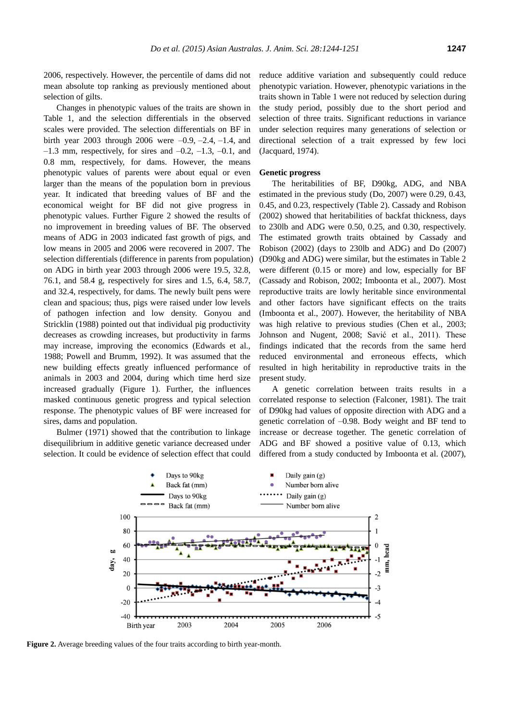2006, respectively. However, the percentile of dams did not mean absolute top ranking as previously mentioned about selection of gilts.

Changes in phenotypic values of the traits are shown in Table 1, and the selection differentials in the observed scales were provided. The selection differentials on BF in birth year 2003 through 2006 were  $-0.9, -2.4, -1.4$ , and  $-1.3$  mm, respectively, for sires and  $-0.2$ ,  $-1.3$ ,  $-0.1$ , and 0.8 mm, respectively, for dams. However, the means phenotypic values of parents were about equal or even larger than the means of the population born in previous year. It indicated that breeding values of BF and the economical weight for BF did not give progress in phenotypic values. Further Figure 2 showed the results of no improvement in breeding values of BF. The observed means of ADG in 2003 indicated fast growth of pigs, and low means in 2005 and 2006 were recovered in 2007. The selection differentials (difference in parents from population) on ADG in birth year 2003 through 2006 were 19.5, 32.8, 76.1, and 58.4 g, respectively for sires and 1.5, 6.4, 58.7, and 32.4, respectively, for dams. The newly built pens were clean and spacious; thus, pigs were raised under low levels of pathogen infection and low density. Gonyou and Stricklin (1988) pointed out that individual pig productivity decreases as crowding increases, but productivity in farms may increase, improving the economics (Edwards et al., 1988; Powell and Brumm, 1992). It was assumed that the new building effects greatly influenced performance of animals in 2003 and 2004, during which time herd size increased gradually (Figure 1). Further, the influences masked continuous genetic progress and typical selection response. The phenotypic values of BF were increased for sires, dams and population.

Bulmer (1971) showed that the contribution to linkage disequilibrium in additive genetic variance decreased under selection. It could be evidence of selection effect that could reduce additive variation and subsequently could reduce phenotypic variation. However, phenotypic variations in the traits shown in Table 1 were not reduced by selection during the study period, possibly due to the short period and selection of three traits. Significant reductions in variance under selection requires many generations of selection or directional selection of a trait expressed by few loci (Jacquard, 1974).

### **Genetic progress**

The heritabilities of BF, D90kg, ADG, and NBA estimated in the previous study (Do, 2007) were 0.29, 0.43, 0.45, and 0.23, respectively (Table 2). Cassady and Robison (2002) showed that heritabilities of backfat thickness, days to 230lb and ADG were 0.50, 0.25, and 0.30, respectively. The estimated growth traits obtained by Cassady and Robison (2002) (days to 230lb and ADG) and Do (2007) (D90kg and ADG) were similar, but the estimates in Table 2 were different (0.15 or more) and low, especially for BF (Cassady and Robison, 2002; Imboonta et al., 2007). Most reproductive traits are lowly heritable since environmental and other factors have significant effects on the traits (Imboonta et al., 2007). However, the heritability of NBA was high relative to previous studies (Chen et al., 2003; Johnson and Nugent, 2008; Savić et al., 2011). These findings indicated that the records from the same herd reduced environmental and erroneous effects, which resulted in high heritability in reproductive traits in the present study.

A genetic correlation between traits results in a correlated response to selection (Falconer, 1981). The trait of D90kg had values of opposite direction with ADG and a genetic correlation of –0.98. Body weight and BF tend to increase or decrease together. The genetic correlation of ADG and BF showed a positive value of 0.13, which differed from a study conducted by Imboonta et al. (2007),



**Figure 2.** Average breeding values of the four traits according to birth year-month.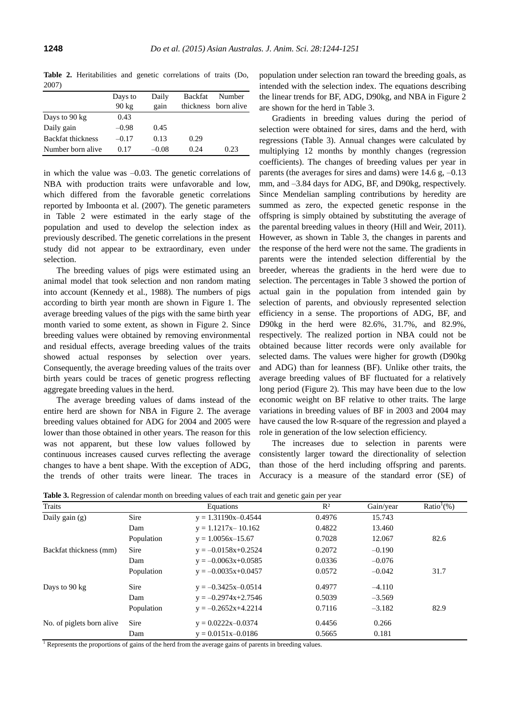**Table 2.** Heritabilities and genetic correlations of traits (Do, 2007)

|                          | Days to         | Daily   | <b>Backfat</b> | Number               |
|--------------------------|-----------------|---------|----------------|----------------------|
|                          | $90 \text{ kg}$ | gain    |                | thickness born alive |
| Days to 90 kg            | 0.43            |         |                |                      |
| Daily gain               | $-0.98$         | 0.45    |                |                      |
| <b>Backfat thickness</b> | $-0.17$         | 0.13    | 0.29           |                      |
| Number born alive        | 0.17            | $-0.08$ | 0.24           | 0.23                 |

in which the value was  $-0.03$ . The genetic correlations of NBA with production traits were unfavorable and low, which differed from the favorable genetic correlations reported by Imboonta et al. (2007). The genetic parameters in Table 2 were estimated in the early stage of the population and used to develop the selection index as previously described. The genetic correlations in the present study did not appear to be extraordinary, even under selection.

The breeding values of pigs were estimated using an animal model that took selection and non random mating into account (Kennedy et al., 1988). The numbers of pigs according to birth year month are shown in Figure 1. The average breeding values of the pigs with the same birth year month varied to some extent, as shown in Figure 2. Since breeding values were obtained by removing environmental and residual effects, average breeding values of the traits showed actual responses by selection over years. Consequently, the average breeding values of the traits over birth years could be traces of genetic progress reflecting aggregate breeding values in the herd.

The average breeding values of dams instead of the entire herd are shown for NBA in Figure 2. The average breeding values obtained for ADG for 2004 and 2005 were lower than those obtained in other years. The reason for this was not apparent, but these low values followed by continuous increases caused curves reflecting the average changes to have a bent shape. With the exception of ADG, the trends of other traits were linear. The traces in population under selection ran toward the breeding goals, as intended with the selection index. The equations describing the linear trends for BF, ADG, D90kg, and NBA in Figure 2 are shown for the herd in Table 3.

Gradients in breeding values during the period of selection were obtained for sires, dams and the herd, with regressions (Table 3). Annual changes were calculated by multiplying 12 months by monthly changes (regression coefficients). The changes of breeding values per year in parents (the averages for sires and dams) were 14.6 g, –0.13 mm, and –3.84 days for ADG, BF, and D90kg, respectively. Since Mendelian sampling contributions by heredity are summed as zero, the expected genetic response in the offspring is simply obtained by substituting the average of the parental breeding values in theory (Hill and Weir, 2011). However, as shown in Table 3, the changes in parents and the response of the herd were not the same. The gradients in parents were the intended selection differential by the breeder, whereas the gradients in the herd were due to selection. The percentages in Table 3 showed the portion of actual gain in the population from intended gain by selection of parents, and obviously represented selection efficiency in a sense. The proportions of ADG, BF, and D90kg in the herd were 82.6%, 31.7%, and 82.9%, respectively. The realized portion in NBA could not be obtained because litter records were only available for selected dams. The values were higher for growth (D90kg and ADG) than for leanness (BF). Unlike other traits, the average breeding values of BF fluctuated for a relatively long period (Figure 2). This may have been due to the low economic weight on BF relative to other traits. The large variations in breeding values of BF in 2003 and 2004 may have caused the low R-square of the regression and played a role in generation of the low selection efficiency.

The increases due to selection in parents were consistently larger toward the directionality of selection than those of the herd including offspring and parents. Accuracy is a measure of the standard error (SE) of

| <b>Traits</b>             |            | Equations               | $R^2$  | Gain/year | Ratio <sup>1</sup> $(\%)$ |
|---------------------------|------------|-------------------------|--------|-----------|---------------------------|
| Daily gain $(g)$          | Sire       | $y = 1.31190x - 0.4544$ | 0.4976 | 15.743    |                           |
|                           | Dam        | $y = 1.1217x - 10.162$  | 0.4822 | 13.460    |                           |
|                           | Population | $y = 1.0056x - 15.67$   | 0.7028 | 12.067    | 82.6                      |
| Backfat thickness (mm)    | Sire       | $y = -0.0158x + 0.2524$ | 0.2072 | $-0.190$  |                           |
|                           | Dam        | $y = -0.0063x+0.0585$   | 0.0336 | $-0.076$  |                           |
|                           | Population | $y = -0.0035x+0.0457$   | 0.0572 | $-0.042$  | 31.7                      |
| Days to 90 kg             | Sire       | $y = -0.3425x - 0.0514$ | 0.4977 | $-4.110$  |                           |
|                           | Dam        | $y = -0.2974x + 2.7546$ | 0.5039 | $-3.569$  |                           |
|                           | Population | $y = -0.2652x+4.2214$   | 0.7116 | $-3.182$  | 82.9                      |
| No. of piglets born alive | Sire       | $y = 0.0222x - 0.0374$  | 0.4456 | 0.266     |                           |
|                           | Dam        | $y = 0.0151x - 0.0186$  | 0.5665 | 0.181     |                           |

**Table 3.** Regression of calendar month on breeding values of each trait and genetic gain per year

 $\frac{1}{1}$  Represents the proportions of gains of the herd from the average gains of parents in breeding values.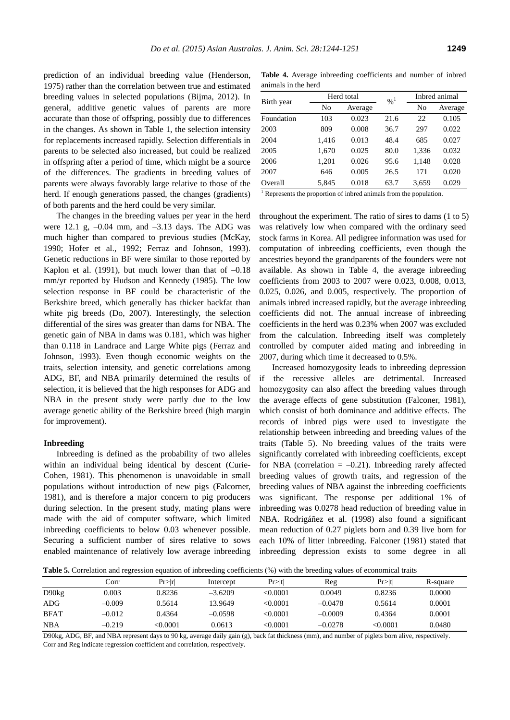prediction of an individual breeding value (Henderson, 1975) rather than the correlation between true and estimated breeding values in selected populations (Bijma, 2012). In general, additive genetic values of parents are more accurate than those of offspring, possibly due to differences in the changes. As shown in Table 1, the selection intensity for replacements increased rapidly. Selection differentials in parents to be selected also increased, but could be realized in offspring after a period of time, which might be a source of the differences. The gradients in breeding values of parents were always favorably large relative to those of the herd. If enough generations passed, the changes (gradients) of both parents and the herd could be very similar.

The changes in the breeding values per year in the herd were 12.1 g,  $-0.04$  mm, and  $-3.13$  days. The ADG was much higher than compared to previous studies (McKay, 1990; Hofer et al., 1992; Ferraz and Johnson, 1993). Genetic reductions in BF were similar to those reported by Kaplon et al. (1991), but much lower than that of  $-0.18$ mm/yr reported by Hudson and Kennedy (1985). The low selection response in BF could be characteristic of the Berkshire breed, which generally has thicker backfat than white pig breeds (Do, 2007). Interestingly, the selection differential of the sires was greater than dams for NBA. The genetic gain of NBA in dams was 0.181, which was higher than 0.118 in Landrace and Large White pigs (Ferraz and Johnson, 1993). Even though economic weights on the traits, selection intensity, and genetic correlations among ADG, BF, and NBA primarily determined the results of selection, it is believed that the high responses for ADG and NBA in the present study were partly due to the low average genetic ability of the Berkshire breed (high margin for improvement).

### **Inbreeding**

Inbreeding is defined as the probability of two alleles within an individual being identical by descent (Curie-Cohen, 1981). This phenomenon is unavoidable in small populations without introduction of new pigs (Falcorner, 1981), and is therefore a major concern to pig producers during selection. In the present study, mating plans were made with the aid of computer software, which limited inbreeding coefficients to below 0.03 whenever possible. Securing a sufficient number of sires relative to sows enabled maintenance of relatively low average inbreeding

**Table 4.** Average inbreeding coefficients and number of inbred animals in the herd

|            | Herd total |         | $\frac{9}{6}$ <sup>1</sup> |       | Inbred animal |  |
|------------|------------|---------|----------------------------|-------|---------------|--|
| Birth year | No         | Average |                            | No    | Average       |  |
| Foundation | 103        | 0.023   | 21.6                       | 22    | 0.105         |  |
| 2003       | 809        | 0.008   | 36.7                       | 297   | 0.022         |  |
| 2004       | 1,416      | 0.013   | 48.4                       | 685   | 0.027         |  |
| 2005       | 1,670      | 0.025   | 80.0                       | 1,336 | 0.032         |  |
| 2006       | 1,201      | 0.026   | 95.6                       | 1,148 | 0.028         |  |
| 2007       | 646        | 0.005   | 26.5                       | 171   | 0.020         |  |
| Overall    | 5,845      | 0.018   | 63.7                       | 3,659 | 0.029         |  |
| $1 -$      |            |         |                            |       |               |  |

Represents the proportion of inbred animals from the population.

throughout the experiment. The ratio of sires to dams (1 to 5) was relatively low when compared with the ordinary seed stock farms in Korea. All pedigree information was used for computation of inbreeding coefficients, even though the ancestries beyond the grandparents of the founders were not available. As shown in Table 4, the average inbreeding coefficients from 2003 to 2007 were 0.023, 0.008, 0.013, 0.025, 0.026, and 0.005, respectively. The proportion of animals inbred increased rapidly, but the average inbreeding coefficients did not. The annual increase of inbreeding coefficients in the herd was 0.23% when 2007 was excluded from the calculation. Inbreeding itself was completely controlled by computer aided mating and inbreeding in 2007, during which time it decreased to 0.5%.

Increased homozygosity leads to inbreeding depression if the recessive alleles are detrimental. Increased homozygosity can also affect the breeding values through the average effects of gene substitution (Falconer, 1981), which consist of both dominance and additive effects. The records of inbred pigs were used to investigate the relationship between inbreeding and breeding values of the traits (Table 5). No breeding values of the traits were significantly correlated with inbreeding coefficients, except for NBA (correlation  $= -0.21$ ). Inbreeding rarely affected breeding values of growth traits, and regression of the breeding values of NBA against the inbreeding coefficients was significant. The response per additional 1% of inbreeding was 0.0278 head reduction of breeding value in NBA. Rodrigáñez et al. (1998) also found a significant mean reduction of 0.27 piglets born and 0.39 live born for each 10% of litter inbreeding. Falconer (1981) stated that inbreeding depression exists to some degree in all

**Table 5.** Correlation and regression equation of inbreeding coefficients (%) with the breeding values of economical traits

|                   | Corr     | Pr> r    | Intercept | Pr> t    | Reg       | Pr >  t | R-square |
|-------------------|----------|----------|-----------|----------|-----------|---------|----------|
| D90 <sub>kg</sub> | 0.003    | 0.8236   | $-3.6209$ | < 0.0001 | 0.0049    | 0.8236  | 0.0000   |
| ADG               | $-0.009$ | 0.5614   | 13.9649   | < 0.0001 | $-0.0478$ | 0.5614  | 0.0001   |
| <b>BFAT</b>       | $-0.012$ | 0.4364   | $-0.0598$ | <0.0001  | $-0.0009$ | 0.4364  | 0.0001   |
| <b>NBA</b>        | $-0.219$ | < 0.0001 | 0.0613    | <0.0001  | $-0.0278$ | <0.0001 | 0.0480   |

D90kg, ADG, BF, and NBA represent days to 90 kg, average daily gain (g), back fat thickness (mm), and number of piglets born alive, respectively. Corr and Reg indicate regression coefficient and correlation, respectively.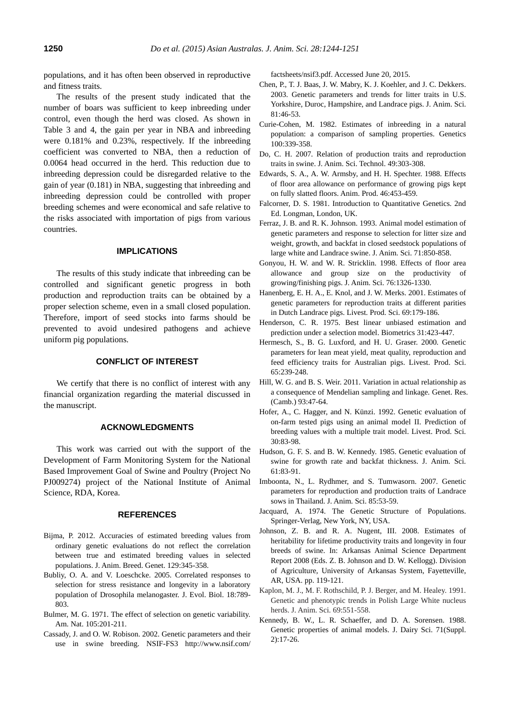populations, and it has often been observed in reproductive and fitness traits.

The results of the present study indicated that the number of boars was sufficient to keep inbreeding under control, even though the herd was closed. As shown in Table 3 and 4, the gain per year in NBA and inbreeding were 0.181% and 0.23%, respectively. If the inbreeding coefficient was converted to NBA, then a reduction of 0.0064 head occurred in the herd. This reduction due to inbreeding depression could be disregarded relative to the gain of year (0.181) in NBA, suggesting that inbreeding and inbreeding depression could be controlled with proper breeding schemes and were economical and safe relative to the risks associated with importation of pigs from various countries.

### **IMPLICATIONS**

The results of this study indicate that inbreeding can be controlled and significant genetic progress in both production and reproduction traits can be obtained by a proper selection scheme, even in a small closed population. Therefore, import of seed stocks into farms should be prevented to avoid undesired pathogens and achieve uniform pig populations.

# **CONFLICT OF INTEREST**

We certify that there is no conflict of interest with any financial organization regarding the material discussed in the manuscript.

#### **ACKNOWLEDGMENTS**

This work was carried out with the support of the Development of Farm Monitoring System for the National Based Improvement Goal of Swine and Poultry (Project No PJ009274) project of the National Institute of Animal Science, RDA, Korea.

### **REFERENCES**

- Bijma, P. 2012. Accuracies of estimated breeding values from ordinary genetic evaluations do not reflect the correlation between true and estimated breeding values in selected populations. J. Anim. Breed. Genet. 129:345-358.
- Bubliy, O. A. and V. Loeschcke. 2005. Correlated responses to selection for stress resistance and longevity in a laboratory population of Drosophila melanogaster. J. Evol. Biol. 18:789- 803.
- Bulmer, M. G. 1971. The effect of selection on genetic variability. Am. Nat. 105:201-211.
- Cassady, J. and O. W. Robison. 2002. Genetic parameters and their use in swine breeding. NSIF-FS3 http://www.nsif.com/

factsheets/nsif3.pdf. Accessed June 20, 2015.

- Chen, P., T. J. Baas, J. W. Mabry, K. J. Koehler, and J. C. Dekkers. 2003. Genetic parameters and trends for litter traits in U.S. Yorkshire, Duroc, Hampshire, and Landrace pigs. J. Anim. Sci. 81:46-53.
- Curie-Cohen, M. 1982. Estimates of inbreeding in a natural population: a comparison of sampling properties. Genetics 100:339-358.
- Do, C. H. 2007. Relation of production traits and reproduction traits in swine. J. Anim. Sci. Technol. 49:303-308.
- Edwards, S. A., A. W. Armsby, and H. H. Spechter. 1988. Effects of floor area allowance on performance of growing pigs kept on fully slatted floors. Anim. Prod. 46:453-459.
- Falcorner, D. S. 1981. Introduction to Quantitative Genetics. 2nd Ed. Longman, London, UK.
- Ferraz, J. B. and R. K. Johnson. 1993. Animal model estimation of genetic parameters and response to selection for litter size and weight, growth, and backfat in closed seedstock populations of large white and Landrace swine. J. Anim. Sci. 71:850-858.
- Gonyou, H. W. and W. R. Stricklin. 1998. Effects of floor area allowance and group size on the productivity of growing/finishing pigs. J. Anim. Sci. 76:1326-1330.
- Hanenberg, E. H. A., E. Knol, and J. W. Merks. 2001. Estimates of genetic parameters for reproduction traits at different parities in Dutch Landrace pigs. Livest. Prod. Sci. 69:179-186.
- Henderson, C. R. 1975. Best linear unbiased estimation and prediction under a selection model. Biometrics 31:423-447.
- Hermesch, S., B. G. Luxford, and H. U. Graser. 2000. Genetic parameters for lean meat yield, meat quality, reproduction and feed efficiency traits for Australian pigs. Livest. Prod. Sci. 65:239-248.
- Hill, W. G. and B. S. Weir. 2011. Variation in actual relationship as a consequence of Mendelian sampling and linkage. Genet. Res. (Camb.) 93:47-64.
- Hofer, A., C. Hagger, and N. Künzi. 1992. Genetic evaluation of on-farm tested pigs using an animal model II. Prediction of breeding values with a multiple trait model. Livest. Prod. Sci. 30:83-98.
- Hudson, G. F. S. and B. W. Kennedy. 1985. Genetic evaluation of swine for growth rate and backfat thickness. J. Anim. Sci. 61:83-91.
- Imboonta, N., L. Rydhmer, and S. Tumwasorn. 2007. Genetic parameters for reproduction and production traits of Landrace sows in Thailand. J. Anim. Sci. 85:53-59.
- Jacquard, A. 1974. The Genetic Structure of Populations. Springer-Verlag, New York, NY, USA.
- Johnson, Z. B. and R. A. Nugent, III. 2008. Estimates of heritability for lifetime productivity traits and longevity in four breeds of swine. In: Arkansas Animal Science Department Report 2008 (Eds. Z. B. Johnson and D. W. Kellogg). Division of Agriculture, University of Arkansas System, Fayetteville, AR, USA. pp. 119-121.
- Kaplon, M. J., M. F. Rothschild, P. J. Berger, and M. Healey. 1991. Genetic and phenotypic trends in Polish Large White nucleus herds. J. Anim. Sci. 69:551-558.
- Kennedy, B. W., L. R. Schaeffer, and D. A. Sorensen. 1988. Genetic properties of animal models. J. Dairy Sci. 71(Suppl. 2):17-26.